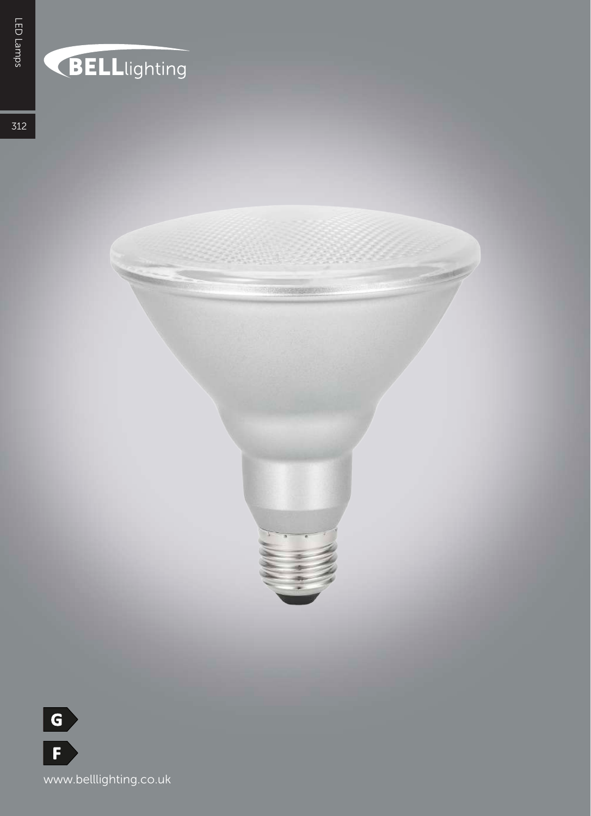# BELLlighting

**EBARAL MENDI** 

 $312$ 

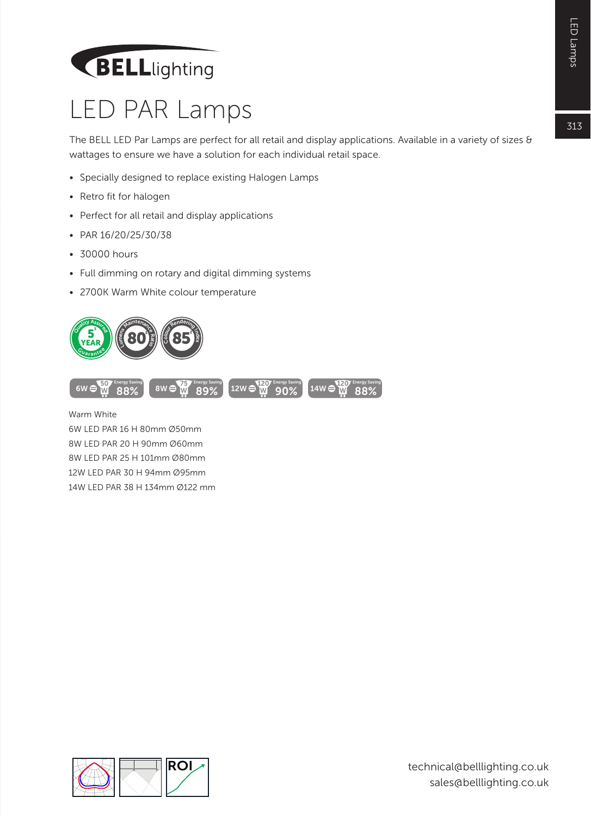# **BELL**lighting

#### LED PAR Lamps

The BELL LED Par Lamps are perfect for all retail and display applications. Available in a variety of sizes & wattages to ensure we have a solution for each individual retail space.

- Specially designed to replace existing Halogen Lamps
- Retro fit for halogen
- Perfect for all retail and display applications
- PAR 16/20/25/30/38
- 30000 hours
- Full dimming on rotary and digital dimming systems
- 2700K Warm White colour temperature



6W LED PAR 16 H 80mm Ø50mm 8W LED PAR 20 H 90mm Ø60mm 8W LED PAR 25 H 101mm Ø80mm 12W LED PAR 30 H 94mm Ø95mm 14W LED PAR 38 H 134mm Ø122 mm



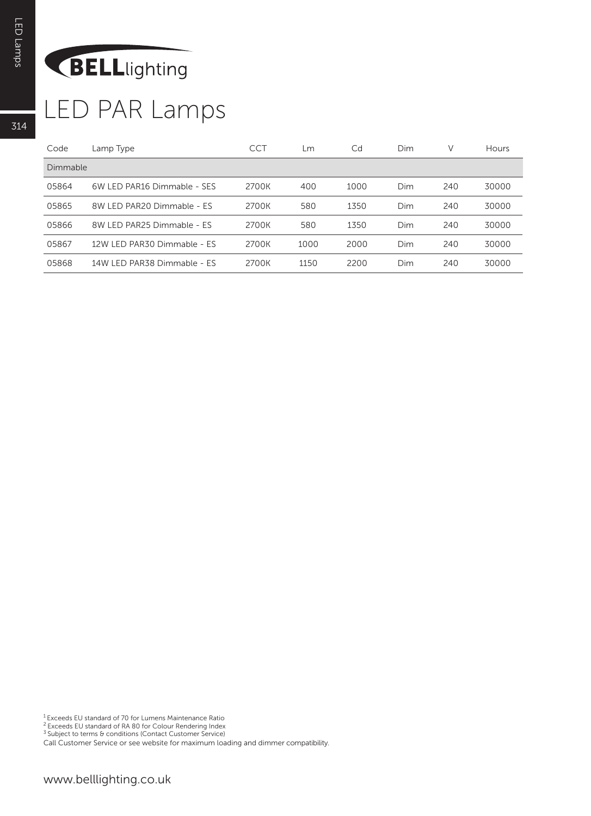# BELLlighting

# LED PAR Lamps

| Code            | Lamp Type                   | <b>CCT</b> | Lm   | Cd   | Dim | V   | Hours |
|-----------------|-----------------------------|------------|------|------|-----|-----|-------|
| <b>Dimmable</b> |                             |            |      |      |     |     |       |
| 05864           | 6W LED PAR16 Dimmable - SES | 2700K      | 400  | 1000 | Dim | 240 | 30000 |
| 05865           | 8W LED PAR20 Dimmable - ES  | 2700K      | 580  | 1350 | Dim | 240 | 30000 |
| 05866           | 8W LED PAR25 Dimmable - ES  | 2700K      | 580  | 1350 | Dim | 240 | 30000 |
| 05867           | 12W LED PAR30 Dimmable - ES | 2700K      | 1000 | 2000 | Dim | 240 | 30000 |
| 05868           | 14W LED PAR38 Dimmable - ES | 2700K      | 1150 | 2200 | Dim | 240 | 30000 |

1 Exceeds EU standard of 70 for Lumens Maintenance Ratio

<sup>2</sup> Exceeds EU standard of RA 80 for Colour Rendering Index<br><sup>3</sup> Subject to terms & conditions (Contact Customer Service)

Call Customer Service or see website for maximum loading and dimmer compatibility.

314